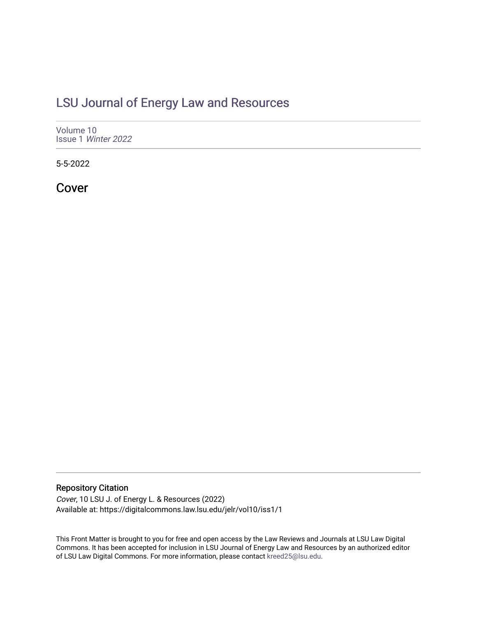### [LSU Journal of Energy Law and Resources](https://digitalcommons.law.lsu.edu/jelr)

[Volume 10](https://digitalcommons.law.lsu.edu/jelr/vol10) Issue 1 [Winter 2022](https://digitalcommons.law.lsu.edu/jelr/vol10/iss1) 

5-5-2022

Cover

#### Repository Citation

Cover, 10 LSU J. of Energy L. & Resources (2022) Available at: https://digitalcommons.law.lsu.edu/jelr/vol10/iss1/1

This Front Matter is brought to you for free and open access by the Law Reviews and Journals at LSU Law Digital Commons. It has been accepted for inclusion in LSU Journal of Energy Law and Resources by an authorized editor of LSU Law Digital Commons. For more information, please contact [kreed25@lsu.edu](mailto:kreed25@lsu.edu).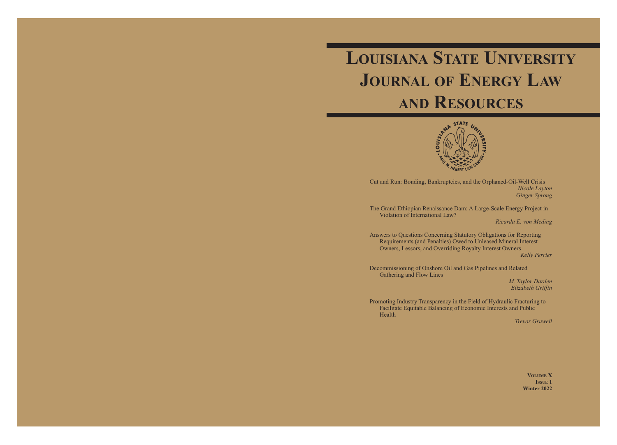# **LOUISIANA STATE UNIVERSITY JOURNAL OF ENERGY LAW AND RESOURCES**



Cut and Run: Bonding, Bankruptcies, and the Orphaned-Oil-Well Crisis *Nicole Layton Ginger Sprong* 

The Grand Ethiopian Renaissance Dam: A Large-Scale Energy Project in Violation of International Law?

*Ricarda E. von Meding* 

Answers to Questions Concerning Statutory Obligations for Reporting Requirements (and Penalties) Owed to Unleased Mineral Interest Owners, Lessors, and Overriding Royalty Interest Owners

*Kelly Perrier* 

Decommissioning of Onshore Oil and Gas Pipelines and Related Gathering and Flow Lines

*M. Taylor Darden Elizabeth Griffin* 

Promoting Industry Transparency in the Field of Hydraulic Fracturing to Facilitate Equitable Balancing of Economic Interests and Public Health

*Trevor Gruwell* 

**VOLUME X ISSUE 1 Winter 2022**